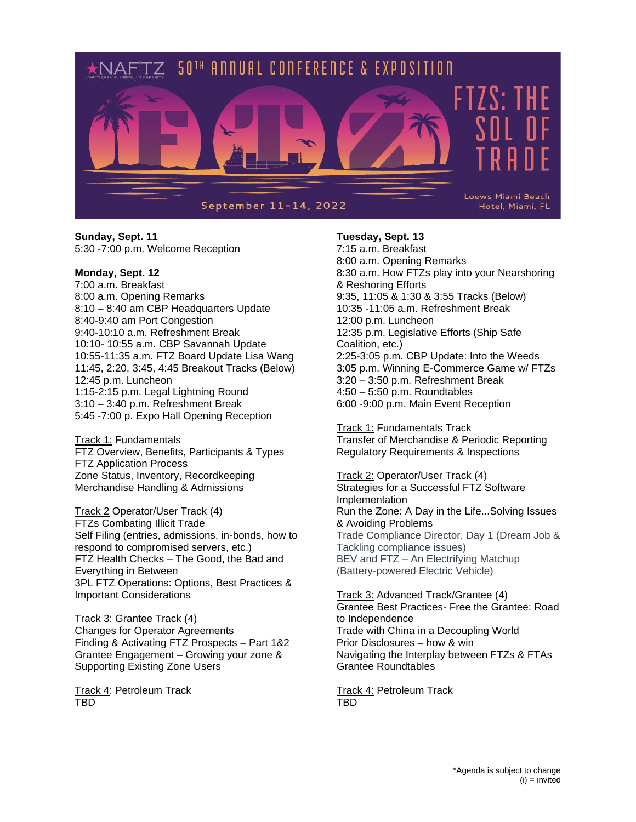

## **Sunday, Sept. 11** 5:30 -7:00 p.m. Welcome Reception

## **Monday, Sept. 12**

7:00 a.m. Breakfast 8:00 a.m. Opening Remarks 8:10 – 8:40 am CBP Headquarters Update 8:40-9:40 am Port Congestion 9:40-10:10 a.m. Refreshment Break 10:10- 10:55 a.m. CBP Savannah Update 10:55-11:35 a.m. FTZ Board Update Lisa Wang 11:45, 2:20, 3:45, 4:45 Breakout Tracks (Below) 12:45 p.m. Luncheon 1:15-2:15 p.m. Legal Lightning Round 3:10 – 3:40 p.m. Refreshment Break 5:45 -7:00 p. Expo Hall Opening Reception

Track 1: Fundamentals FTZ Overview, Benefits, Participants & Types FTZ Application Process Zone Status, Inventory, Recordkeeping Merchandise Handling & Admissions

Track 2 Operator/User Track (4) FTZs Combating Illicit Trade Self Filing (entries, admissions, in-bonds, how to respond to compromised servers, etc.) FTZ Health Checks – The Good, the Bad and Everything in Between 3PL FTZ Operations: Options, Best Practices & Important Considerations

Track 3: Grantee Track (4) Changes for Operator Agreements Finding & Activating FTZ Prospects – Part 1&2 Grantee Engagement – Growing your zone & Supporting Existing Zone Users

Track 4: Petroleum Track TBD

## **Tuesday, Sept. 13**

7:15 a.m. Breakfast 8:00 a.m. Opening Remarks 8:30 a.m. How FTZs play into your Nearshoring & Reshoring Efforts 9:35, 11:05 & 1:30 & 3:55 Tracks (Below) 10:35 -11:05 a.m. Refreshment Break 12:00 p.m. Luncheon 12:35 p.m. Legislative Efforts (Ship Safe Coalition, etc.) 2:25-3:05 p.m. CBP Update: Into the Weeds 3:05 p.m. Winning E-Commerce Game w/ FTZs 3:20 – 3:50 p.m. Refreshment Break 4:50 – 5:50 p.m. Roundtables 6:00 -9:00 p.m. Main Event Reception

Track 1: Fundamentals Track Transfer of Merchandise & Periodic Reporting Regulatory Requirements & Inspections

Track 2: Operator/User Track (4) Strategies for a Successful FTZ Software Implementation Run the Zone: A Day in the Life...Solving Issues & Avoiding Problems Trade Compliance Director, Day 1 (Dream Job & Tackling compliance issues) BEV and FTZ – An Electrifying Matchup (Battery-powered Electric Vehicle)

Track 3: Advanced Track/Grantee (4) Grantee Best Practices- Free the Grantee: Road to Independence Trade with China in a Decoupling World Prior Disclosures – how & win Navigating the Interplay between FTZs & FTAs Grantee Roundtables

Track 4: Petroleum Track TBD